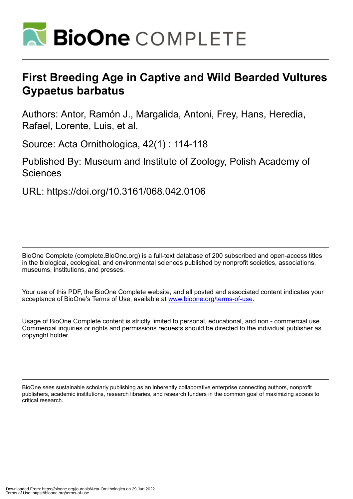

# **First Breeding Age in Captive and Wild Bearded Vultures Gypaetus barbatus**

Authors: Antor, Ramón J., Margalida, Antoni, Frey, Hans, Heredia, Rafael, Lorente, Luis, et al.

Source: Acta Ornithologica, 42(1) : 114-118

Published By: Museum and Institute of Zoology, Polish Academy of **Sciences** 

URL: https://doi.org/10.3161/068.042.0106

BioOne Complete (complete.BioOne.org) is a full-text database of 200 subscribed and open-access titles in the biological, ecological, and environmental sciences published by nonprofit societies, associations, museums, institutions, and presses.

Your use of this PDF, the BioOne Complete website, and all posted and associated content indicates your acceptance of BioOne's Terms of Use, available at www.bioone.org/terms-of-use.

Usage of BioOne Complete content is strictly limited to personal, educational, and non - commercial use. Commercial inquiries or rights and permissions requests should be directed to the individual publisher as copyright holder.

BioOne sees sustainable scholarly publishing as an inherently collaborative enterprise connecting authors, nonprofit publishers, academic institutions, research libraries, and research funders in the common goal of maximizing access to critical research.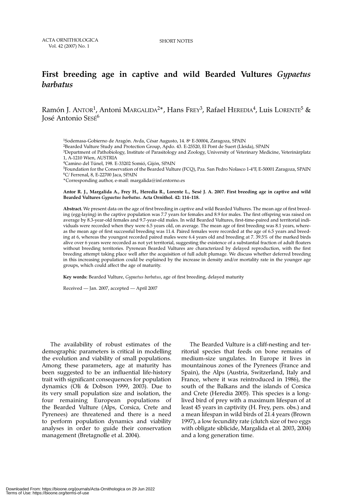# **First breeding age in captive and wild Bearded Vultures** *Gypaetus barbatus*

Ramón J. ANTOR<sup>1</sup>, Antoni MARGALIDA<sup>2\*</sup>, Hans FREY<sup>3</sup>, Rafael HEREDIA<sup>4</sup>, Luis LORENTE<sup>5</sup> & José Antonio SESÉ<sup>6</sup>

<sup>1</sup>Sodemasa-Gobierno de Aragón. Avda, César Augusto, 14. 8ª E-50004, Zaragoza, SPAIN

2Bearded Vulture Study and Protection Group, Apdo. 43. E-25520, El Pont de Suert (Lleida), SPAIN

3Department of Pathobiology, Institute of Parasitology and Zoology, University of Veterinary Medicine, Veterinärplatz 1, A-1210 Wien, AUSTRIA

4Camino del Túnel, 198. E-33202 Somió, Gijón, SPAIN

5Foundation for the Conservation of the Bearded Vulture (FCQ), Pza. San Pedro Nolasco 1-4°F, E-50001 Zaragoza, SPAIN 6C/ Ferrenal, 8, E-22700 Jaca, SPAIN

\*Corresponding author, e-mail: margalida@inf.entorno.es

#### **Antor R. J., Margalida A., Frey H., Heredia R., Lorente L., Sesé J. A. 2007. First breeding age in captive and wild Bearded Vultures** *Gypaetus barbatus***. Acta Ornithol. 42: 114–118.**

**Abstract.** We present data on the age of first breeding in captive and wild Bearded Vultures. The mean age of first breeding (egg-laying) in the captive population was 7.7 years for females and 8.9 for males. The first offspring was raised on average by 8.3-year-old females and 9.7-year-old males. In wild Bearded Vultures, first-time-paired and territorial individuals were recorded when they were 6.5 years old, on average. The mean age of first breeding was 8.1 years, whereas the mean age of first successful breeding was 11.4. Paired females were recorded at the age of 6.5 years and breeding at 6, whereas the youngest recorded paired males were 6.4 years old and breeding at 7. 39.5% of the marked birds alive over 6 years were recorded as not yet territorial, suggesting the existence of a substantial fraction of adult floaters without breeding territories. Pyrenean Bearded Vultures are characterized by delayed reproduction, with the first breeding attempt taking place well after the acquisition of full adult plumage. We discuss whether deferred breeding in this increasing population could be explained by the increase in density and/or mortality rate in the younger age groups, which could affect the age of maturity.

**Key words:** Bearded Vulture, *Gypaetus barbatus*, age of first breeding, delayed maturity

Received — Jan. 2007, accepted — April 2007

The availability of robust estimates of the demographic parameters is critical in modelling the evolution and viability of small populations. Among these parameters, age at maturity has been suggested to be an influential life-history trait with significant consequences for population dynamics (Oli & Dobson 1999, 2003). Due to its very small population size and isolation, the four remaining European populations of the Bearded Vulture (Alps, Corsica, Crete and Pyrenees) are threatened and there is a need to perform population dynamics and viability analyses in order to guide their conservation management (Bretagnolle et al. 2004).

The Bearded Vulture is a cliff-nesting and territorial species that feeds on bone remains of medium-size ungulates. In Europe it lives in mountainous zones of the Pyrenees (France and Spain), the Alps (Austria, Switzerland, Italy and France, where it was reintroduced in 1986), the south of the Balkans and the islands of Corsica and Crete (Heredia 2005). This species is a longlived bird of prey with a maximum lifespan of at least 45 years in captivity (H. Frey, pers. obs.) and a mean lifespan in wild birds of 21.4 years (Brown 1997), a low fecundity rate (clutch size of two eggs with obligate siblicide, Margalida et al. 2003, 2004) and a long generation time.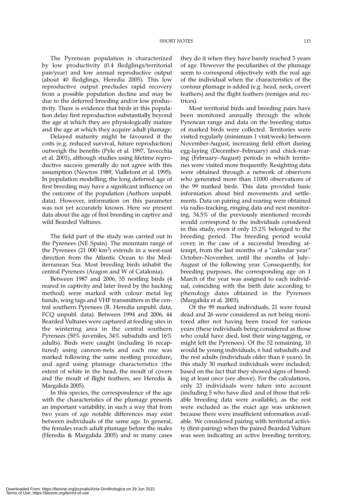The Pyrenean population is characterized by low productivity (0.4 fledglings/territorial pair/year) and low annual reproductive output (about 40 fledglings, Heredia 2005). This low reproductive output precludes rapid recovery from a possible population decline and may be due to the deferred breeding and/or low productivity. There is evidence that birds in this population delay first reproduction substantially beyond the age at which they are physiologically mature and the age at which they acquire adult plumage.

Delayed maturity might be favoured if the costs (e.g. reduced survival, future reproduction) outweigh the benefits (Pyle et al. 1997, Tavecchia et al. 2001), although studies using lifetime reproductive success generally do not agree with this assumption (Newton 1989, Viallefont et al. 1995). In population modelling, the long deferred age of first breeding may have a significant influence on the outcome of the population (Authors unpubl. data). However, information on this parameter was not yet accurately known. Here we present data about the age of first breeding in captive and wild Bearded Vultures.

The field part of the study was carried out in the Pyrenees (NE Spain). The mountain range of the Pyrenees  $(21\ 000\ km^2)$  extends in a west-east direction from the Atlantic Ocean to the Mediterranean Sea. Most breeding birds inhabit the central Pyrenees (Aragon and W of Catalonia).

Between 1987 and 2006, 55 nestling birds (4 reared in captivity and later freed by the hacking method) were marked with colour metal leg bands, wing tags and VHF transmitters in the central southern Pyrenees (R. Heredia unpubl. data, FCQ unpubl. data). Between 1994 and 2006, 44 Bearded Vultures were captured at feeding sites in the wintering area in the central southern Pyrenees (50% juveniles, 34% subadults and 16% adults). Birds were caught (including 16 recaptured) using cannon-nets and each one was marked following the same nestling procedure, and aged using plumage characteristics (the extent of white in the head, the moult of covers and the moult of flight feathers, see Heredia & Margalida 2005).

In this species, the correspondence of the age with the characteristics of the plumage presents an important variability, in such a way that from two years of age notable differences may exist between individuals of the same age. In general, the females reach adult plumage before the males (Heredia & Margalida 2005) and in many cases they do it when they have barely reached 5 years of age. However the peculiarities of the plumage seem to correspond objectively with the real age of the individual when the characteristics of the contour plumage is added (e.g. head, neck, covert feathers) and the flight feathers (remiges and rectrices).

Most territorial birds and breeding pairs have been monitored annually through the whole Pyrenean range and data on the breeding status of marked birds were collected. Territories were visited regularly (minimum 1 visit/week) between November-August, increasing field effort during egg-laying (December–February) and chick-rearing (February–August) periods in which territories were visited more frequently. Resighting data were obtained through a network of observers who generated more than 11000 observations of the 99 marked birds. This data provided basic information about bird movements and settlements. Data on pairing and rearing were obtained via radio-tracking, ringing data and nest monitoring. 34.5% of the previously mentioned records would correspond to the individuals considered in this study, even if only 15.2% belonged to the breeding period. The breeding period would cover, in the case of a successful breeding attempt, from the last months of a "calendar year" October–November, until the months of July– August of the following year. Consequently, for breeding purposes, the corresponding age on 1 March of the year was assigned to each individual, coinciding with the birth date according to phenology dates obtained in the Pyrenees (Margalida et al. 2003).

Of the 99 marked individuals, 21 were found dead and 26 were considered as not being monitored after not having been traced for various years (these individuals being considered as those who could have died, lost their wing-tagging, or might left the Pyrenees). Of the 52 remaining, 10 would be young individuals, 6 had subadults and the rest adults (individuals older than 6 years). In this study 30 marked individuals were included; based on the fact that they showed signs of breeding at least once (see above). For the calculations, only 23 individuals were taken into account (including 5 who have died and of those that reliable breeding data were available), as the rest were excluded as the exact age was unknown because there were insufficient information available. We considered pairing with territorial activity (first-pairing) when the paired Bearded Vulture was seen indicating an active breeding territory,

Downloaded From: https://bioone.org/journals/Acta-Ornithologica on 29 Jun 2022 Terms of Use: https://bioone.org/terms-of-use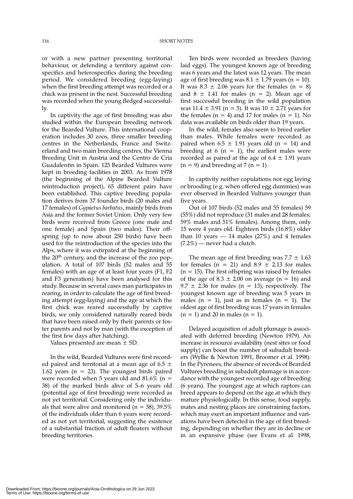or with a new partner presenting territorial behaviour, or defending a territory against conspecifics and heterospecifics during the breeding period. We considered breeding (egg-laying) when the first breeding attempt was recorded or a chick was present in the nest. Successful breeding was recorded when the young fledged successfully.

In captivity the age of first breeding was also studied within the European breeding network for the Bearded Vulture. This international cooperation includes 30 zoos, three smaller breeding centres in the Netherlands, France and Switzerland and two main breeding centres, the Vienna Breeding Unit in Austria and the Centro de Cria Guadalentin in Spain. 125 Bearded Vultures were kept in breeding facilities in 2003. As from 1978 (the beginning of the Alpine Bearded Vulture reintroduction project), 65 different pairs have been established. This captive breeding population derives from 37 founder birds (20 males and 17 females) of *Gypaetus barbatus*, mainly birds from Asia and the former Soviet Union. Only very few birds were received from Greece (one male and one female) and Spain (two males). Their offspring (up to now about 250 birds) have been used for the reintroduction of the species into the Alps, where it was extirpated at the beginning of the 20<sup>th</sup> century, and the increase of the zoo population. A total of 107 birds (52 males and 55 females) with an age of at least four years (F1, F2 and F3 generation) have been analysed for this study. Because in several cases man participates in rearing, in order to calculate the age of first breeding attempt (egg-laying) and the age at which the first chick was reared successfully by captive birds, we only considered naturally reared birds that have been raised only by their parents or foster parents and not by man (with the exception of the first few days after hatching).

Values presented are mean  $\pm$  SD.

In the wild, Bearded Vultures were first recorded paired and territorial at a mean age of 6.5  $\pm$ 1.62 years ( $n = 23$ ). The youngest birds paired were recorded when 5 years old and  $81.6\%$  (n = 38) of the marked birds alive of 5–6 years old (potential age of first breeding) were recorded as not yet territorial. Considering only the individuals that were alive and monitored ( $n = 38$ ), 39.5% of the individuals older than 6 years were recorded as not yet territorial, suggesting the existence of a substantial fraction of adult floaters without breeding territories.

Ten birds were recorded as breeders (having laid eggs). The youngest known age of breeding was 6 years and the latest was 12 years. The mean age of first breeding was  $8.1 \pm 1.79$  years (n = 10). It was  $8.3 \pm 2.06$  years for the females (n = 8) and  $8 \pm 1.41$  for males (n = 2). Mean age of first successful breeding in the wild population was  $11.4 \pm 3.91$  (n = 5). It was  $10 \pm 2.71$  years for the females ( $n = 4$ ) and 17 for males ( $n = 1$ ). No data was available on birds older than 19 years.

In the wild, females also seem to breed earlier than males. While females were recorded as paired when  $6.5 \pm 1.91$  years old (n = 14) and breeding at 6 ( $n = 1$ ), the earliest males were recorded as paired at the age of  $6.4 \pm 1.91$  years  $(n = 9)$  and breeding at 7  $(n = 1)$ .

In captivity neither copulations nor egg laying or brooding (e.g. when offered egg dummies) was ever observed in Bearded Vultures younger than five years.

Out of 107 birds (52 males and 55 females) 59 (55%) did not reproduce (31 males and 28 females; 59% males and 51% females). Among them, only 15 were 4 years old. Eighteen birds (16.8%) older than 10 years  $-$  14 males (27%) and 4 females  $(7.2\%)$  — never had a clutch.

The mean age of first breeding was  $7.7 \pm 1.63$ for females ( $n = 21$ ) and  $8.9 \pm 2.13$  for males  $(n = 15)$ . The first offspring was raised by females of the age of  $8.3 \pm 2.00$  on average (n = 16) and 9.7  $\pm$  2.36 for males (n = 13), respectively. The youngest known age of breeding was 5 years in males ( $n = 1$ ), just as in females ( $n = 1$ ). The oldest age of first breeding was 17 years in females  $(n = 1)$  and 20 in males  $(n = 1)$ .

Delayed acquisition of adult plumage is associated with deferred breeding (Newton 1979). An increase in resource availability (nest sites or food supply) can boost the number of subadult breeders (Wyllie & Newton 1991, Broomer et al. 1998). In the Pyrenees, the absence of records of Bearded Vultures breeding in subadult plumage is in accordance with the youngest recorded age of breeding (6 years). The youngest age at which raptors can breed appears to depend on the age at which they mature physiologically. In this sense, food supply, mates and nesting places are constraining factors, which may exert an important influence and variations have been detected in the age of first breeding, depending on whether they are in decline or in an expansive phase (see Evans et al. 1998,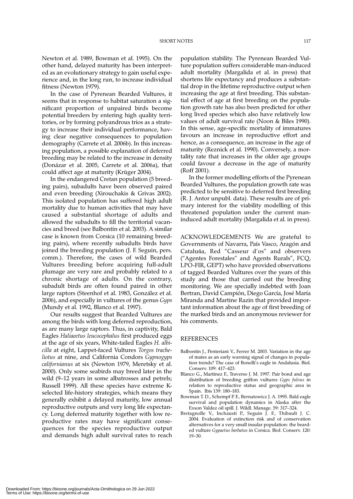Newton et al. 1989, Bowman et al. 1995). On the other hand, delayed maturity has been interpreted as an evolutionary strategy to gain useful experience and, in the long run, to increase individual fitness (Newton 1979).

In the case of Pyrenean Bearded Vultures, it seems that in response to habitat saturation a significant proportion of unpaired birds become potential breeders by entering high quality territories, or by forming polyandrous trios as a strategy to increase their individual performance, having clear negative consequences to population demography (Carrete et al. 2006b). In this increasing population, a possible explanation of deferred breeding may be related to the increase in density (Donázar et al. 2005, Carrete et al. 2006a), that could affect age at maturity (Krüger 2004).

In the endangered Cretan population (5 breeding pairs), subadults have been observed paired and even breeding (Xirouchakis & Grivas 2002). This isolated population has suffered high adult mortality due to human activities that may have caused a substantial shortage of adults and allowed the subadults to fill the territorial vacancies and breed (see Balbontín et al. 2003). A similar case is known from Corsica (10 remaining breeding pairs), where recently subadults birds have joined the breeding population (J. F. Seguin, pers. comm.). Therefore, the cases of wild Bearded Vultures breeding before acquiring full-adult plumage are very rare and probably related to a chronic shortage of adults. On the contrary, subadult birds are often found paired in other large raptors (Steenhof et al. 1983, González et al. 2006), and especially in vultures of the genus *Gyps* (Mundy et al. 1992, Blanco et al. 1997).

Our results suggest that Bearded Vultures are among the birds with long deferred reproduction, as are many large raptors. Thus, in captivity, Bald Eagles *Haliaeetus leucocephalus* first produced eggs at the age of six years, White-tailed Eagles *H. albicilla* at eight, Lappet-faced Vultures *Torgos tracheliotus* at nine, and California Condors *Gypnogyps californianus* at six (Newton 1979, Meretsky et al. 2000). Only some seabirds may breed later in the wild (9–12 years in some albatrosses and petrels; Russell 1999). All these species have extreme Kselected life-history strategies, which means they generally exhibit a delayed maturity, low annual reproductive outputs and very long life expectancy. Long deferred maturity together with low reproductive rates may have significant consequences for the species reproductive output and demands high adult survival rates to reach population stability. The Pyrenean Bearded Vulture population suffers considerable man-induced adult mortality (Margalida et al. in press) that shortens life expectancy and produces a substantial drop in the lifetime reproductive output when increasing the age at first breeding. This substantial effect of age at first breeding on the population growth rate has also been predicted for other long lived species which also have relatively low values of adult survival rate (Noon & Biles 1990). In this sense, age-specific mortality of immatures favours an increase in reproductive effort and hence, as a consequence, an increase in the age of maturity (Reznick et al. 1990). Conversely, a mortality rate that increases in the older age groups could favour a decrease in the age of maturity (Roff 2001).

In the former modelling efforts of the Pyrenean Bearded Vultures, the population growth rate was predicted to be sensitive to deferred first breeding (R. J. Antor unpubl. data). These results are of primary interest for the viability modelling of this threatened population under the current maninduced adult mortality (Margalida et al. in press).

ACKNOWLEDGEMENTS We are grateful to Governments of Navarra, País Vasco, Aragón and Cataluña, Red "Casseur d'os" and observers ("Agentes Forestales" and Agents Rurals", FCQ, LPO-FIR, GEPT) who have provided observations of tagged Bearded Vultures over the years of this study and those that carried out the breeding monitoring. We are specially indebted with Joan Bertran, David Campión, Diego García, José María Miranda and Martine Razin that provided important information about the age of first breeding of the marked birds and an anonymous reviewer for his comments.

#### REFERENCES

- Balbontín J., Penteriani V., Ferrer M. 2003. Variation in the age of mates as an early warning signal of changes in population trends? The case of Bonelli's eagle in Andalusia. Biol. Conserv. 109: 417–423.
- Blanco G., Martínez F., Traverso J. M. 1997. Pair bond and age distribution of breeding griffon vultures *Gyps fulvus* in relation to reproductive status and geographic area in Spain. Ibis 139: 180–183.
- Bowman T. D., Schempf P. F., Bernatowicz J. A. 1995. Bald eagle survival and population dynamics in Alaska after the Exxon Valdez oil spill. J. Wildl. Manage. 59: 317–324.
- Bretagnolle V., Inchausti P., Seguin J. F., Thibault J. C. 2004. Evaluation of extinction risk and of conservation alternatives for a very small insular population: the bearded vulture *Gypaetus barbatus* in Corsica. Biol. Conserv. 120: 19–30.